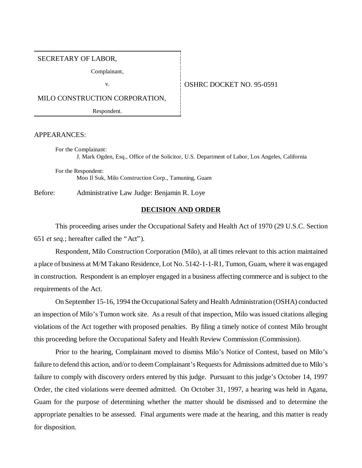#### SECRETARY OF LABOR,

Complainant,

#### v. **OSHRC DOCKET NO. 95-0591**

MILO CONSTRUCTION CORPORATION,

Respondent.

APPEARANCES:

For the Complainant: J. Mark Ogden, Esq., Office of the Solicitor, U.S. Department of Labor, Los Angeles, California

For the Respondent: Moo Il Suk, Milo Construction Corp., Tamuning, Guam

Before: Administrative Law Judge: Benjamin R. Loye

### **DECISION AND ORDER**

This proceeding arises under the Occupational Safety and Health Act of 1970 (29 U.S.C. Section 651 *et seq.*; hereafter called the "Act").

Respondent, Milo Construction Corporation (Milo), at all times relevant to this action maintained a place of business at M/M Takano Residence, Lot No. 5142-1-1-R1, Tumon, Guam, where it was engaged in construction. Respondent is an employer engaged in a business affecting commerce and is subject to the requirements of the Act.

On September 15-16, 1994 the Occupational Safety and Health Administration (OSHA) conducted an inspection of Milo's Tumon work site. As a result of that inspection, Milo was issued citations alleging violations of the Act together with proposed penalties. By filing a timely notice of contest Milo brought this proceeding before the Occupational Safety and Health Review Commission (Commission).

Prior to the hearing, Complainant moved to dismiss Milo's Notice of Contest, based on Milo's failure to defend this action, and/or to deem Complainant's Requests for Admissions admitted due to Milo's failure to comply with discovery orders entered by this judge. Pursuant to this judge's October 14, 1997 Order, the cited violations were deemed admitted. On October 31, 1997, a hearing was held in Agana, Guam for the purpose of determining whether the matter should be dismissed and to determine the appropriate penalties to be assessed. Final arguments were made at the hearing, and this matter is ready for disposition.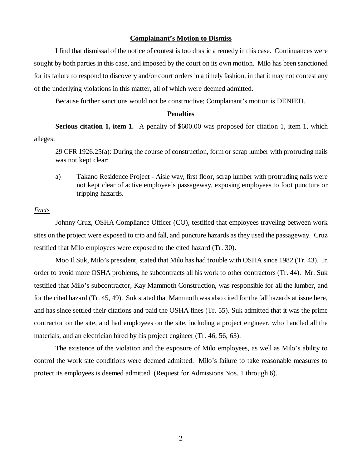#### **Complainant's Motion to Dismiss**

I find that dismissal of the notice of contest is too drastic a remedy in this case. Continuances were sought by both parties in this case, and imposed by the court on its own motion. Milo has been sanctioned for its failure to respond to discovery and/or court orders in a timely fashion, in that it may not contest any of the underlying violations in this matter, all of which were deemed admitted.

Because further sanctions would not be constructive; Complainant's motion is DENIED.

### **Penalties**

**Serious citation 1, item 1.** A penalty of \$600.00 was proposed for citation 1, item 1, which alleges:

29 CFR 1926.25(a): During the course of construction, form or scrap lumber with protruding nails was not kept clear:

a) Takano Residence Project - Aisle way, first floor, scrap lumber with protruding nails were not kept clear of active employee's passageway, exposing employees to foot puncture or tripping hazards.

#### *Facts*

Johnny Cruz, OSHA Compliance Officer (CO), testified that employees traveling between work sites on the project were exposed to trip and fall, and puncture hazards as they used the passageway. Cruz testified that Milo employees were exposed to the cited hazard (Tr. 30).

Moo Il Suk, Milo's president, stated that Milo has had trouble with OSHA since 1982 (Tr. 43). In order to avoid more OSHA problems, he subcontracts all his work to other contractors (Tr. 44). Mr. Suk testified that Milo's subcontractor, Kay Mammoth Construction, was responsible for all the lumber, and for the cited hazard (Tr. 45, 49). Suk stated that Mammoth was also cited for the fall hazards at issue here, and has since settled their citations and paid the OSHA fines (Tr. 55). Suk admitted that it was the prime contractor on the site, and had employees on the site, including a project engineer, who handled all the materials, and an electrician hired by his project engineer (Tr. 46, 56, 63).

The existence of the violation and the exposure of Milo employees, as well as Milo's ability to control the work site conditions were deemed admitted. Milo's failure to take reasonable measures to protect its employees is deemed admitted. (Request for Admissions Nos. 1 through 6).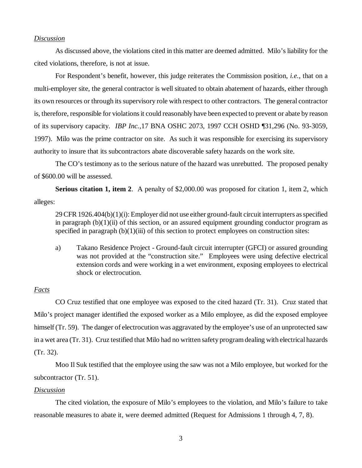#### *Discussion*

As discussed above, the violations cited in this matter are deemed admitted. Milo's liability for the cited violations, therefore, is not at issue.

For Respondent's benefit, however, this judge reiterates the Commission position, *i.e.*, that on a multi-employer site, the general contractor is well situated to obtain abatement of hazards, either through its own resources or through its supervisory role with respect to other contractors. The general contractor is, therefore, responsible for violations it could reasonably have been expected to prevent or abate by reason of its supervisory capacity. *IBP Inc.,*17 BNA OSHC 2073, 1997 CCH OSHD ¶31,296 (No. 93-3059, 1997). Milo was the prime contractor on site. As such it was responsible for exercising its supervisory authority to insure that its subcontractors abate discoverable safety hazards on the work site.

The CO's testimony as to the serious nature of the hazard was unrebutted. The proposed penalty of \$600.00 will be assessed.

**Serious citation 1, item 2.** A penalty of \$2,000.00 was proposed for citation 1, item 2, which alleges:

29 CFR 1926.404(b)(1)(i): Employer did not use either ground-fault circuit interrupters as specified in paragraph  $(b)(1)(ii)$  of this section, or an assured equipment grounding conductor program as specified in paragraph  $(b)(1)(iii)$  of this section to protect employees on construction sites:

a) Takano Residence Project - Ground-fault circuit interrupter (GFCI) or assured grounding was not provided at the "construction site." Employees were using defective electrical extension cords and were working in a wet environment, exposing employees to electrical shock or electrocution.

### *Facts*

CO Cruz testified that one employee was exposed to the cited hazard (Tr. 31). Cruz stated that Milo's project manager identified the exposed worker as a Milo employee, as did the exposed employee himself (Tr. 59). The danger of electrocution was aggravated by the employee's use of an unprotected saw in a wet area (Tr. 31). Cruz testified that Milo had no written safety program dealing with electrical hazards (Tr. 32).

Moo Il Suk testified that the employee using the saw was not a Milo employee, but worked for the subcontractor (Tr. 51).

#### *Discussion*

The cited violation, the exposure of Milo's employees to the violation, and Milo's failure to take reasonable measures to abate it, were deemed admitted (Request for Admissions 1 through 4, 7, 8).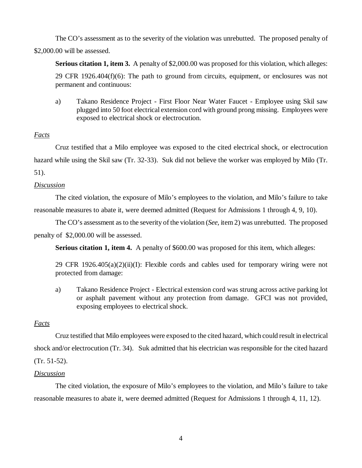The CO's assessment as to the severity of the violation was unrebutted. The proposed penalty of \$2,000.00 will be assessed.

**Serious citation 1, item 3.** A penalty of \$2,000.00 was proposed for this violation, which alleges: 29 CFR 1926.404 $(f)(6)$ : The path to ground from circuits, equipment, or enclosures was not permanent and continuous:

a) Takano Residence Project - First Floor Near Water Faucet - Employee using Skil saw plugged into 50 foot electrical extension cord with ground prong missing. Employees were exposed to electrical shock or electrocution.

### *Facts*

Cruz testified that a Milo employee was exposed to the cited electrical shock, or electrocution hazard while using the Skil saw (Tr. 32-33). Suk did not believe the worker was employed by Milo (Tr.

# 51).

# *Discussion*

The cited violation, the exposure of Milo's employees to the violation, and Milo's failure to take reasonable measures to abate it, were deemed admitted (Request for Admissions 1 through 4, 9, 10).

The CO's assessment as to the severity of the violation (*See,* item 2) was unrebutted. The proposed penalty of \$2,000.00 will be assessed.

**Serious citation 1, item 4.** A penalty of \$600.00 was proposed for this item, which alleges:

29 CFR 1926.405(a)(2)(ii)(I): Flexible cords and cables used for temporary wiring were not protected from damage:

a) Takano Residence Project - Electrical extension cord was strung across active parking lot or asphalt pavement without any protection from damage. GFCI was not provided, exposing employees to electrical shock.

# *Facts*

Cruz testified that Milo employees were exposed to the cited hazard, which could result in electrical shock and/or electrocution (Tr. 34). Suk admitted that his electrician was responsible for the cited hazard (Tr. 51-52).

### *Discussion*

The cited violation, the exposure of Milo's employees to the violation, and Milo's failure to take reasonable measures to abate it, were deemed admitted (Request for Admissions 1 through 4, 11, 12).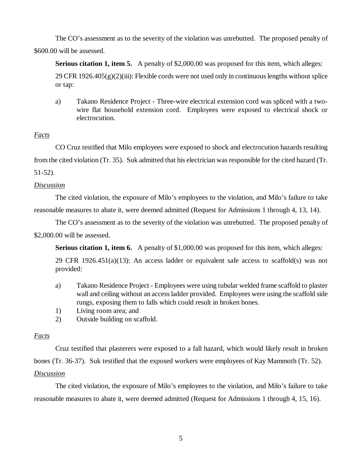The CO's assessment as to the severity of the violation was unrebutted. The proposed penalty of \$600.00 will be assessed.

**Serious citation 1, item 5.** A penalty of \$2,000.00 was proposed for this item, which alleges:  $29$  CFR  $1926.405(g)(2)(iii)$ : Flexible cords were not used only in continuous lengths without splice or tap:

a) Takano Residence Project - Three-wire electrical extension cord was spliced with a twowire flat household extension cord. Employees were exposed to electrical shock or electrocution.

# *Facts*

CO Cruz testified that Milo employees were exposed to shock and electrocution hazards resulting from the cited violation (Tr. 35). Suk admitted that his electrician was responsible for the cited hazard (Tr.

51-52).

### *Discussion*

The cited violation, the exposure of Milo's employees to the violation, and Milo's failure to take reasonable measures to abate it, were deemed admitted (Request for Admissions 1 through 4, 13, 14).

The CO's assessment as to the severity of the violation was unrebutted. The proposed penalty of \$2,000.00 will be assessed.

**Serious citation 1, item 6.** A penalty of \$1,000.00 was proposed for this item, which alleges:

29 CFR 1926.451(a)(13): An access ladder or equivalent safe access to scaffold(s) was not provided:

- a) Takano Residence Project Employees were using tubular welded frame scaffold to plaster wall and ceiling without an access ladder provided. Employees were using the scaffold side rungs, exposing them to falls which could result in broken bones.
- 1) Living room area; and
- 2) Outside building on scaffold.

# *Facts*

Cruz testified that plasterers were exposed to a fall hazard, which would likely result in broken bones (Tr. 36-37). Suk testified that the exposed workers were employees of Kay Mammoth (Tr. 52).

# *Discussion*

The cited violation, the exposure of Milo's employees to the violation, and Milo's failure to take reasonable measures to abate it, were deemed admitted (Request for Admissions 1 through 4, 15, 16).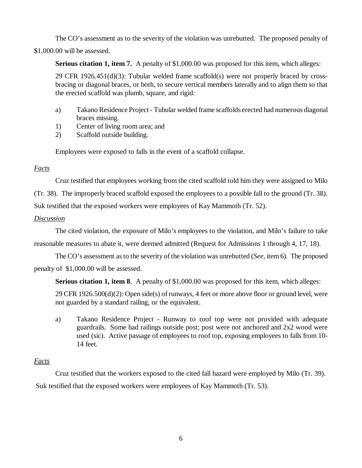The CO's assessment as to the severity of the violation was unrebutted. The proposed penalty of

\$1,000.00 will be assessed.

**Serious citation 1, item 7.** A penalty of \$1,000.00 was proposed for this item, which alleges:

29 CFR 1926.451(d)(3): Tubular welded frame scaffold(s) were not properly braced by crossbracing or diagonal braces, or both, to secure vertical members laterally and to align them so that the erected scaffold was plumb, square, and rigid:

- a) Takano Residence Project Tubular welded frame scaffolds erected had numerous diagonal braces missing.
- 1) Center of living room area; and
- 2) Scaffold outside building.

Employees were exposed to falls in the event of a scaffold collapse.

# *Facts*

Cruz testified that employees working from the cited scaffold told him they were assigned to Milo

(Tr. 38). The improperly braced scaffold exposed the employees to a possible fall to the ground (Tr. 38).

Suk testified that the exposed workers were employees of Kay Mammoth (Tr. 52).

# *Discussion*

The cited violation, the exposure of Milo's employees to the violation, and Milo's failure to take

reasonable measures to abate it, were deemed admitted (Request for Admissions 1 through 4, 17, 18).

The CO's assessment as to the severity of the violation was unrebutted (*See,* item 6). The proposed penalty of \$1,000.00 will be assessed.

**Serious citation 1, item 8**. A penalty of \$1,000.00 was proposed for this item, which alleges:

29 CFR 1926.500(d)(2): Open side(s) of runways, 4 feet or more above floor or ground level, were not guarded by a standard railing, or the equivalent.

a) Takano Residence Project - Runway to roof top were not provided with adequate guardrails. Some had railings outside post; post were not anchored and 2x2 wood were used (sic). Active passage of employees to roof top, exposing employees to falls from 10- 14 feet.

# *Facts*

Cruz testified that the workers exposed to the cited fall hazard were employed by Milo (Tr. 39). Suk testified that the exposed workers were employees of Kay Mammoth (Tr. 53).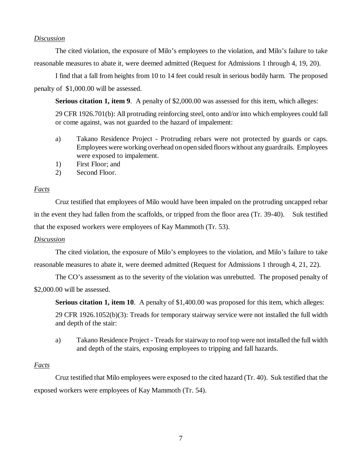### *Discussion*

The cited violation, the exposure of Milo's employees to the violation, and Milo's failure to take reasonable measures to abate it, were deemed admitted (Request for Admissions 1 through 4, 19, 20).

I find that a fall from heights from 10 to 14 feet could result in serious bodily harm. The proposed penalty of \$1,000.00 will be assessed.

**Serious citation 1, item 9.** A penalty of \$2,000.00 was assessed for this item, which alleges:

29 CFR 1926.701(b): All protruding reinforcing steel, onto and/or into which employees could fall or come against, was not guarded to the hazard of impalement:

- a) Takano Residence Project Protruding rebars were not protected by guards or caps. Employees were working overhead on open sided floors without any guardrails. Employees were exposed to impalement.
- 1) First Floor; and
- 2) Second Floor.

### *Facts*

Cruz testified that employees of Milo would have been impaled on the protruding uncapped rebar in the event they had fallen from the scaffolds, or tripped from the floor area (Tr. 39-40). Suk testified that the exposed workers were employees of Kay Mammoth (Tr. 53).

### *Discussion*

The cited violation, the exposure of Milo's employees to the violation, and Milo's failure to take reasonable measures to abate it, were deemed admitted (Request for Admissions 1 through 4, 21, 22).

The CO's assessment as to the severity of the violation was unrebutted. The proposed penalty of \$2,000.00 will be assessed.

**Serious citation 1, item 10.** A penalty of \$1,400.00 was proposed for this item, which alleges:

29 CFR 1926.1052(b)(3): Treads for temporary stairway service were not installed the full width and depth of the stair:

a) Takano Residence Project - Treads for stairway to roof top were not installed the full width and depth of the stairs, exposing employees to tripping and fall hazards.

### *Facts*

Cruz testified that Milo employees were exposed to the cited hazard (Tr. 40). Suk testified that the exposed workers were employees of Kay Mammoth (Tr. 54).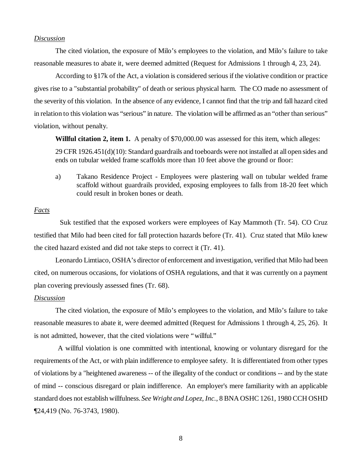#### *Discussion*

The cited violation, the exposure of Milo's employees to the violation, and Milo's failure to take reasonable measures to abate it, were deemed admitted (Request for Admissions 1 through 4, 23, 24).

According to §17k of the Act, a violation is considered serious if the violative condition or practice gives rise to a "substantial probability" of death or serious physical harm. The CO made no assessment of the severity of this violation. In the absence of any evidence, I cannot find that the trip and fall hazard cited in relation to this violation was "serious" in nature. The violation will be affirmed as an "other than serious" violation, without penalty.

**Willful citation 2, item 1.** A penalty of \$70,000.00 was assessed for this item, which alleges:

29 CFR 1926.451(d)(10): Standard guardrails and toeboards were not installed at all open sides and ends on tubular welded frame scaffolds more than 10 feet above the ground or floor:

a) Takano Residence Project - Employees were plastering wall on tubular welded frame scaffold without guardrails provided, exposing employees to falls from 18-20 feet which could result in broken bones or death.

#### *Facts*

 Suk testified that the exposed workers were employees of Kay Mammoth (Tr. 54). CO Cruz testified that Milo had been cited for fall protection hazards before (Tr. 41). Cruz stated that Milo knew the cited hazard existed and did not take steps to correct it (Tr. 41).

Leonardo Limtiaco, OSHA's director of enforcement and investigation, verified that Milo had been cited, on numerous occasions, for violations of OSHA regulations, and that it was currently on a payment plan covering previously assessed fines (Tr. 68).

#### *Discussion*

The cited violation, the exposure of Milo's employees to the violation, and Milo's failure to take reasonable measures to abate it, were deemed admitted (Request for Admissions 1 through 4, 25, 26). It is not admitted, however, that the cited violations were "willful."

 A willful violation is one committed with intentional, knowing or voluntary disregard for the requirements of the Act, or with plain indifference to employee safety. It is differentiated from other types of violations by a "heightened awareness -- of the illegality of the conduct or conditions -- and by the state of mind -- conscious disregard or plain indifference. An employer's mere familiarity with an applicable standard does not establish willfulness. *See Wright and Lopez, Inc.*, 8 BNA OSHC 1261, 1980 CCH OSHD ¶24,419 (No. 76-3743, 1980).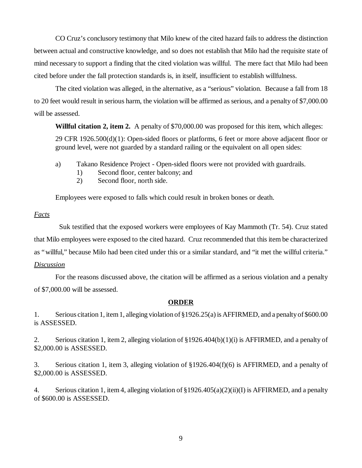CO Cruz's conclusory testimony that Milo knew of the cited hazard fails to address the distinction between actual and constructive knowledge, and so does not establish that Milo had the requisite state of mind necessary to support a finding that the cited violation was willful. The mere fact that Milo had been cited before under the fall protection standards is, in itself, insufficient to establish willfulness.

The cited violation was alleged, in the alternative, as a "serious" violation. Because a fall from 18 to 20 feet would result in serious harm, the violation will be affirmed as serious, and a penalty of \$7,000.00 will be assessed.

**Willful citation 2, item 2.** A penalty of \$70,000.00 was proposed for this item, which alleges:

29 CFR 1926.500(d)(1): Open-sided floors or platforms, 6 feet or more above adjacent floor or ground level, were not guarded by a standard railing or the equivalent on all open sides:

- a) Takano Residence Project Open-sided floors were not provided with guardrails.
	- 1) Second floor, center balcony; and
	- 2) Second floor, north side.

Employees were exposed to falls which could result in broken bones or death.

### *Facts*

 Suk testified that the exposed workers were employees of Kay Mammoth (Tr. 54). Cruz stated that Milo employees were exposed to the cited hazard. Cruz recommended that this item be characterized as "willful," because Milo had been cited under this or a similar standard, and "it met the willful criteria." *Discussion*

For the reasons discussed above, the citation will be affirmed as a serious violation and a penalty of \$7,000.00 will be assessed.

# **ORDER**

1. Serious citation 1, item 1, alleging violation of §1926.25(a) is AFFIRMED, and a penalty of \$600.00 is ASSESSED.

2. Serious citation 1, item 2, alleging violation of §1926.404(b)(1)(i) is AFFIRMED, and a penalty of \$2,000.00 is ASSESSED.

3. Serious citation 1, item 3, alleging violation of §1926.404(f)(6) is AFFIRMED, and a penalty of \$2,000.00 is ASSESSED.

4. Serious citation 1, item 4, alleging violation of §1926.405(a)(2)(ii)(I) is AFFIRMED, and a penalty of \$600.00 is ASSESSED.